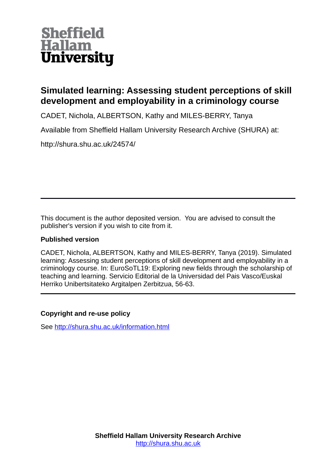

## **Simulated learning: Assessing student perceptions of skill development and employability in a criminology course**

CADET, Nichola, ALBERTSON, Kathy and MILES-BERRY, Tanya

Available from Sheffield Hallam University Research Archive (SHURA) at:

http://shura.shu.ac.uk/24574/

This document is the author deposited version. You are advised to consult the publisher's version if you wish to cite from it.

## **Published version**

CADET, Nichola, ALBERTSON, Kathy and MILES-BERRY, Tanya (2019). Simulated learning: Assessing student perceptions of skill development and employability in a criminology course. In: EuroSoTL19: Exploring new fields through the scholarship of teaching and learning. Servicio Editorial de la Universidad del Pais Vasco/Euskal Herriko Unibertsitateko Argitalpen Zerbitzua, 56-63.

### **Copyright and re-use policy**

See<http://shura.shu.ac.uk/information.html>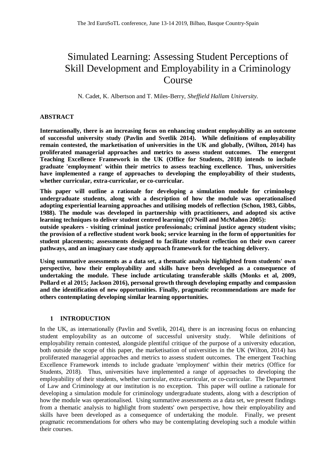# Simulated Learning: Assessing Student Perceptions of Skill Development and Employability in a Criminology Course

N. Cadet, K. Albertson and T. Miles-Berry, *Sheffield Hallam University.*

#### **ABSTRACT**

**Internationally, there is an increasing focus on enhancing student employability as an outcome of successful university study (Pavlin and Svetlik 2014). While definitions of employability remain contested, the marketisation of universities in the UK and globally, (Wilton, 2014) has proliferated managerial approaches and metrics to assess student outcomes. The emergent Teaching Excellence Framework in the UK (Office for Students, 2018) intends to include graduate 'employment' within their metrics to assess teaching excellence. Thus, universities have implemented a range of approaches to developing the employability of their students, whether curricular, extra-curricular, or co-curricular.** 

**This paper will outline a rationale for developing a simulation module for criminology undergraduate students, along with a description of how the module was operationalised adopting experiential learning approaches and utilising models of reflection (Schon, 1983, Gibbs, 1988). The module was developed in partnership with practitioners, and adopted six active learning techniques to deliver student centred learning (O'Neill and McMahon 2005):**

**outside speakers - visiting criminal justice professionals; criminal justice agency student visits; the provision of a reflective student work book; service learning in the form of opportunities for student placements; assessments designed to facilitate student reflection on their own career pathways, and an imaginary case study approach framework for the teaching delivery.**

**Using summative assessments as a data set, a thematic analysis highlighted from students' own perspective, how their employability and skills have been developed as a consequence of undertaking the module. These include articulating transferable skills (Monks et al, 2009, Pollard et al 2015; Jackson 2016), personal growth through developing empathy and compassion and the identification of new opportunities. Finally, pragmatic recommendations are made for others contemplating developing similar learning opportunities.**

#### **1 INTRODUCTION**

In the UK, as internationally (Pavlin and Svetlik, 2014), there is an increasing focus on enhancing student employability as an outcome of successful university study. While definitions of employability remain contested, alongside plentiful critique of the purpose of a university education, both outside the scope of this paper, the marketisation of universities in the UK (Wilton, 2014) has proliferated managerial approaches and metrics to assess student outcomes. The emergent Teaching Excellence Framework intends to include graduate 'employment' within their metrics (Office for Students, 2018). Thus, universities have implemented a range of approaches to developing the employability of their students, whether curricular, extra-curricular, or co-curricular. The Department of Law and Criminology at our institution is no exception. This paper will outline a rationale for developing a simulation module for criminology undergraduate students, along with a description of how the module was operationalised. Using summative assessments as a data set, we present findings from a thematic analysis to highlight from students' own perspective, how their employability and skills have been developed as a consequence of undertaking the module. Finally, we present pragmatic recommendations for others who may be contemplating developing such a module within their courses.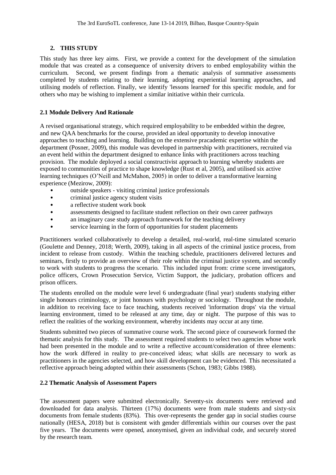#### **2. THIS STUDY**

This study has three key aims. First, we provide a context for the development of the simulation module that was created as a consequence of university drivers to embed employability within the curriculum. Second, we present findings from a thematic analysis of summative assessments completed by students relating to their learning, adopting experiential learning approaches, and utilising models of reflection. Finally, we identify 'lessons learned' for this specific module, and for others who may be wishing to implement a similar initiative within their curricula.

#### **2.1 Module Delivery And Rationale**

A revised organisational strategy, which required employability to be embedded within the degree, and new QAA benchmarks for the course, provided an ideal opportunity to develop innovative approaches to teaching and learning. Building on the extensive pracademic expertise within the department (Posner, 2009), this module was developed in partnership with practitioners, recruited via an event held within the department designed to enhance links with practitioners across teaching provision. The module deployed a social constructivist approach to learning whereby students are exposed to communities of practice to shape knowledge (Rust et al, 2005), and utilised six active learning techniques (O'Neill and McMahon, 2005) in order to deliver a transformative learning experience (Mezirow, 2009):

- outside speakers visiting criminal justice professionals
- criminal justice agency student visits
- a reflective student work book
- assessments designed to facilitate student reflection on their own career pathways
- an imaginary case study approach framework for the teaching delivery
- service learning in the form of opportunities for student placements

Practitioners worked collaboratively to develop a detailed, real-world, real-time simulated scenario (Goulette and Denney, 2018; Werth, 2009), taking in all aspects of the criminal justice process, from incident to release from custody. Within the teaching schedule, practitioners delivered lectures and seminars, firstly to provide an overview of their role within the criminal justice system, and secondly to work with students to progress the scenario. This included input from: crime scene investigators, police officers, Crown Prosecution Service, Victim Support, the judiciary, probation officers and prison officers.

The students enrolled on the module were level 6 undergraduate (final year) students studying either single honours criminology, or joint honours with psychology or sociology. Throughout the module, in addition to receiving face to face teaching, students received 'information drops' via the virtual learning environment, timed to be released at any time, day or night. The purpose of this was to reflect the realities of the working environment, whereby incidents may occur at any time.

Students submitted two pieces of summative course work. The second piece of coursework formed the thematic analysis for this study. The assessment required students to select two agencies whose work had been presented in the module and to write a reflective account/consideration of three elements: how the work differed in reality to pre-conceived ideas; what skills are necessary to work as practitioners in the agencies selected, and how skill development can be evidenced. This necessitated a reflective approach being adopted within their assessments (Schon, 1983; Gibbs 1988).

#### **2.2 Thematic Analysis of Assessment Papers**

The assessment papers were submitted electronically. Seventy-six documents were retrieved and downloaded for data analysis. Thirteen (17%) documents were from male students and sixty-six documents from female students (83%). This over-represents the gender gap in social studies course nationally (HESA, 2018) but is consistent with gender differentials within our courses over the past five years. The documents were opened, anonymised, given an individual code, and securely stored by the research team.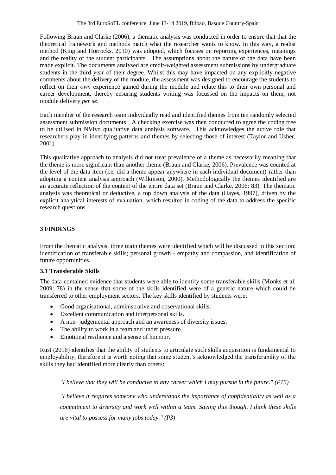Following Braun and Clarke (2006), a thematic analysis was conducted in order to ensure that that the theoretical framework and methods match what the researcher wants to know. In this way, a realist method (King and Horrocks, 2010) was adopted, which focuses on reporting experiences, meanings and the reality of the student participants. The assumptions about the nature of the data have been made explicit. The documents analysed are credit-weighted assessment submissions by undergraduate students in the third year of their degree. Whilst this may have impacted on any explicitly negative comments about the delivery of the module, the assessment was designed to encourage the students to reflect on their *own* experience gained during the module and relate this to their own personal and career development, thereby ensuring students writing was focussed on the impacts on them, not module delivery *per se*.

Each member of the research team individually read and identified themes from ten randomly selected assessment submission documents. A checking exercise was then conducted to agree the coding tree to be utilised in NVivo qualitative data analysis software. This acknowledges the active role that researchers play in identifying patterns and themes by selecting those of interest (Taylor and Usher, 2001).

This qualitative approach to analysis did not treat prevalence of a theme as necessarily meaning that the theme is more significant than another theme (Braun and Clarke, 2006). Prevalence was counted at the level of the data item (i.e. did a theme appear anywhere in each individual document) rather than adopting a content analysis approach (Wilkinson, 2000). Methodologically the themes identified are an accurate reflection of the content of the entire data set (Braun and Clarke, 2006: 83). The thematic analysis was theoretical or deductive, a top down analysis of the data (Hayes, 1997), driven by the explicit analytical interests of evaluation, which resulted in coding of the data to address the specific research questions.

#### **3 FINDINGS**

From the thematic analysis, three main themes were identified which will be discussed in this section: identification of transferable skills; personal growth - empathy and compassion, and identification of future opportunities.

#### **3.1 Transferable Skills**

The data contained evidence that students were able to identify some transferable skills (Monks et al, 2009: 78) in the sense that some of the skills identified were of a generic nature which could be transferred to other employment sectors. The key skills identified by students were:

- Good organisational, administrative and observational skills.
- Excellent communication and interpersonal skills.
- A non- judgemental approach and an awareness of diversity issues.
- The ability to work in a team and under pressure.
- Emotional resilience and a sense of humour.

Rust (2016) identifies that the ability of students to articulate such skills acquisition is fundamental to employability, therefore it is worth noting that some student's acknowledged the transferability of the skills they had identified more clearly than others:

*"I believe that they will be conducive to any career which I may pursue in the future." (P15)*

*"I believe it requires someone who understands the importance of confidentiality as well as a commitment to diversity and work well within a team. Saying this though, I think these skills are vital to possess for many jobs today." (P3)*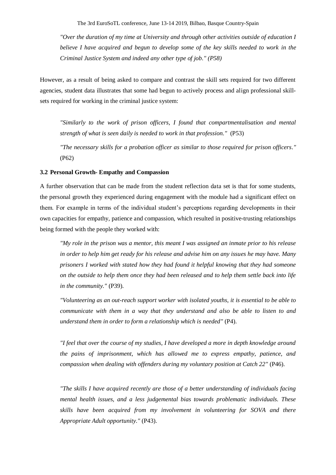The 3rd EuroSoTL conference, June 13-14 2019, Bilbao, Basque Country-Spain

*"Over the duration of my time at University and through other activities outside of education I believe I have acquired and begun to develop some of the key skills needed to work in the Criminal Justice System and indeed any other type of job." (P58)*

However, as a result of being asked to compare and contrast the skill sets required for two different agencies, student data illustrates that some had begun to actively process and align professional skillsets required for working in the criminal justice system:

*"Similarly to the work of prison officers, I found that compartmentalisation and mental strength of what is seen daily is needed to work in that profession."* (P53)

*"The necessary skills for a probation officer as similar to those required for prison officers."* (P62)

#### **3.2 Personal Growth- Empathy and Compassion**

A further observation that can be made from the student reflection data set is that for some students, the personal growth they experienced during engagement with the module had a significant effect on them. For example in terms of the individual student's perceptions regarding developments in their own capacities for empathy, patience and compassion, which resulted in positive-trusting relationships being formed with the people they worked with:

*"My role in the prison was a mentor, this meant I was assigned an inmate prior to his release in order to help him get ready for his release and advise him on any issues he may have. Many prisoners I worked with stated how they had found it helpful knowing that they had someone on the outside to help them once they had been released and to help them settle back into life in the community."* (P39).

*"Volunteering as an out-reach support worker with isolated youths, it is essential to be able to communicate with them in a way that they understand and also be able to listen to and understand them in order to form a relationship which is needed"* (P4).

*"I feel that over the course of my studies, I have developed a more in depth knowledge around the pains of imprisonment, which has allowed me to express empathy, patience, and compassion when dealing with offenders during my voluntary position at Catch 22"* (P46).

*"The skills I have acquired recently are those of a better understanding of individuals facing mental health issues, and a less judgemental bias towards problematic individuals. These skills have been acquired from my involvement in volunteering for SOVA and there Appropriate Adult opportunity."* (P43).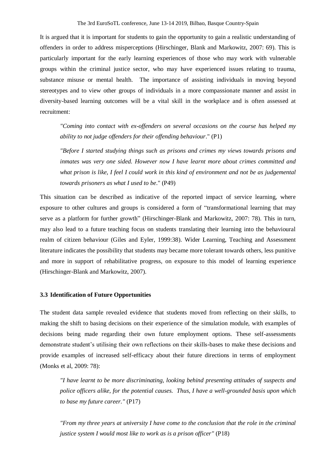It is argued that it is important for students to gain the opportunity to gain a realistic understanding of offenders in order to address misperceptions (Hirschinger, Blank and Markowitz, 2007: 69). This is particularly important for the early learning experiences of those who may work with vulnerable groups within the criminal justice sector, who may have experienced issues relating to trauma, substance misuse or mental health. The importance of assisting individuals in moving beyond stereotypes and to view other groups of individuals in a more compassionate manner and assist in diversity-based learning outcomes will be a vital skill in the workplace and is often assessed at recruitment:

*"Coming into contact with ex-offenders on several occasions on the course has helped my ability to not judge offenders for their offending behaviour*." (P1)

*"Before I started studying things such as prisons and crimes my views towards prisons and inmates was very one sided. However now I have learnt more about crimes committed and what prison is like, I feel I could work in this kind of environment and not be as judgemental towards prisoners as what I used to be*." (P49)

This situation can be described as indicative of the reported impact of service learning, where exposure to other cultures and groups is considered a form of "transformational learning that may serve as a platform for further growth" (Hirschinger-Blank and Markowitz, 2007: 78). This in turn, may also lead to a future teaching focus on students translating their learning into the behavioural realm of citizen behaviour (Giles and Eyler, 1999:38). Wider Learning, Teaching and Assessment literature indicates the possibility that students may became more tolerant towards others, less punitive and more in support of rehabilitative progress, on exposure to this model of learning experience (Hirschinger-Blank and Markowitz, 2007).

#### **3.3 Identification of Future Opportunities**

The student data sample revealed evidence that students moved from reflecting on their skills, to making the shift to basing decisions on their experience of the simulation module, with examples of decisions being made regarding their own future employment options. These self-assessments demonstrate student's utilising their own reflections on their skills-bases to make these decisions and provide examples of increased self-efficacy about their future directions in terms of employment (Monks et al, 2009: 78):

*"I have learnt to be more discriminating, looking behind presenting attitudes of suspects and police officers alike, for the potential causes. Thus, I have a well-grounded basis upon which to base my future career."* (P17)

*"From my three years at university I have come to the conclusion that the role in the criminal justice system I would most like to work as is a prison officer"* (P18)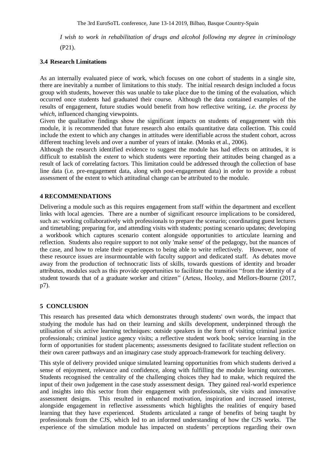*I wish to work in rehabilitation of drugs and alcohol following my degree in criminology*

(P21).

#### **3.4 Research Limitations**

As an internally evaluated piece of work, which focuses on one cohort of students in a single site, there are inevitably a number of limitations to this study. The initial research design included a focus group with students, however this was unable to take place due to the timing of the evaluation, which occurred once students had graduated their course. Although the data contained examples of the results of engagement, future studies would benefit from how reflective writing, *i.e. the process by which,* influenced changing viewpoints.

Given the qualitative findings show the significant impacts on students of engagement with this module, it is recommended that future research also entails quantitative data collection. This could include the extent to which any changes in attitudes were identifiable across the student cohort, across different teaching levels and over a number of years of intake. (Monks et al., 2006).

Although the research identified evidence to suggest the module has had effects on attitudes, it is difficult to establish the *extent* to which students were reporting their attitudes being changed as a result of lack of correlating factors. This limitation could be addressed through the collection of base line data (i.e. pre-engagement data, along with post-engagement data) in order to provide a robust assessment of the extent to which attitudinal change can be attributed to the module.

#### **4 RECOMMENDATIONS**

Delivering a module such as this requires engagement from staff within the department and excellent links with local agencies. There are a number of significant resource implications to be considered, such as: working collaboratively with professionals to prepare the scenario; coordinating guest lectures and timetabling; preparing for, and attending visits with students; posting scenario updates; developing a workbook which captures scenario content alongside opportunities to articulate learning and reflection. Students also require support to not only 'make sense' of the pedagogy, but the nuances of the case, and how to relate their experiences to being able to write reflectively. However, none of these resource issues are insurmountable with faculty support and dedicated staff. As debates move away from the production of technocratic lists of skills, towards questions of identity and broader attributes, modules such as this provide opportunities to facilitate the transition "from the identity of a student towards that of a graduate worker and citizen" (Artess, Hooley, and Mellors-Bourne (2017, p7).

#### **5 CONCLUSION**

This research has presented data which demonstrates through students' own words, the impact that studying the module has had on their learning and skills development, underpinned through the utilisation of six active learning techniques: outside speakers in the form of visiting criminal justice professionals; criminal justice agency visits; a reflective student work book; service learning in the form of opportunities for student placements; assessments designed to facilitate student reflection on their own career pathways and an imaginary case study approach-framework for teaching delivery.

This style of delivery provided unique simulated learning opportunities from which students derived a sense of enjoyment, relevance and confidence, along with fulfilling the module learning outcomes. Students recognised the centrality of the challenging choices they had to make, which required the input of their own judgement in the case study assessment design. They gained real-world experience and insights into this sector from their engagement with professionals, site visits and innovative assessment designs. This resulted in enhanced motivation, inspiration and increased interest, alongside engagement in reflective assessments which highlights the realities of enquiry based learning that they have experienced. Students articulated a range of benefits of being taught by professionals from the CJS, which led to an informed understanding of how the CJS works. The experience of the simulation module has impacted on students' perceptions regarding their own